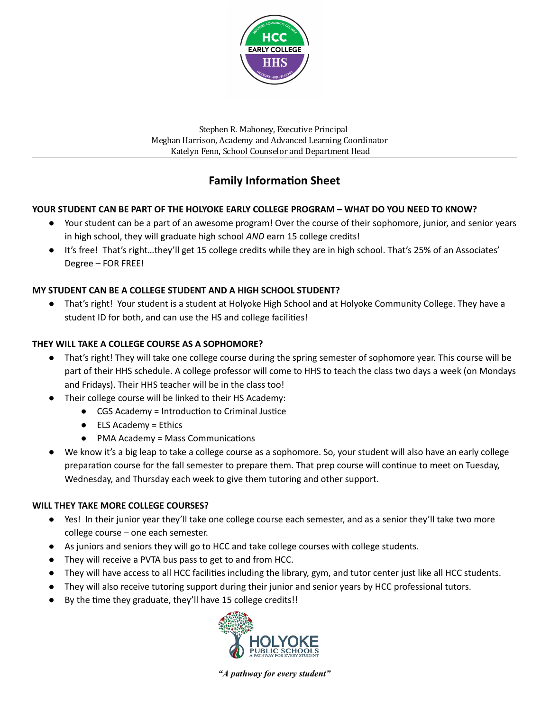

Stephen R. Mahoney, Executive Principal Meghan Harrison, Academy and Advanced Learning Coordinator Katelyn Fenn, School Counselor and Department Head

# **Family Information Sheet**

# **YOUR STUDENT CAN BE PART OF THE HOLYOKE EARLY COLLEGE PROGRAM – WHAT DO YOU NEED TO KNOW?**

- Your student can be a part of an awesome program! Over the course of their sophomore, junior, and senior years in high school, they will graduate high school *AND* earn 15 college credits!
- It's free! That's right…they'll get 15 college credits while they are in high school. That's 25% of an Associates' Degree – FOR FREE!

# **MY STUDENT CAN BE A COLLEGE STUDENT AND A HIGH SCHOOL STUDENT?**

● That's right! Your student is a student at Holyoke High School and at Holyoke Community College. They have a student ID for both, and can use the HS and college facilities!

## **THEY WILL TAKE A COLLEGE COURSE AS A SOPHOMORE?**

- That's right! They will take one college course during the spring semester of sophomore year. This course will be part of their HHS schedule. A college professor will come to HHS to teach the class two days a week (on Mondays and Fridays). Their HHS teacher will be in the class too!
- Their college course will be linked to their HS Academy:
	- CGS Academy = Introduction to Criminal Justice
	- ELS Academy = Ethics
	- $\bullet$  PMA Academy = Mass Communications
- We know it's a big leap to take a college course as a sophomore. So, your student will also have an early college preparation course for the fall semester to prepare them. That prep course will continue to meet on Tuesday, Wednesday, and Thursday each week to give them tutoring and other support.

## **WILL THEY TAKE MORE COLLEGE COURSES?**

- Yes! In their junior year they'll take one college course each semester, and as a senior they'll take two more college course – one each semester.
- As juniors and seniors they will go to HCC and take college courses with college students.
- They will receive a PVTA bus pass to get to and from HCC.
- They will have access to all HCC facilies including the library, gym, and tutor center just like all HCC students.
- They will also receive tutoring support during their junior and senior years by HCC professional tutors.
- By the time they graduate, they'll have 15 college credits!!



*"A pathway for every student"*